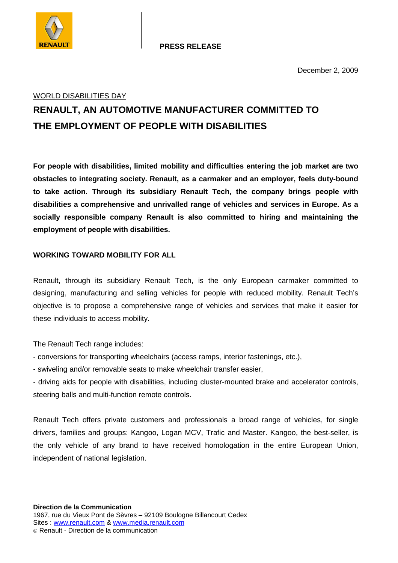

### WORLD DISABILITIES DAY

# **RENAULT, AN AUTOMOTIVE MANUFACTURER COMMITTED TO THE EMPLOYMENT OF PEOPLE WITH DISABILITIES**

**For people with disabilities, limited mobility and difficulties entering the job market are two obstacles to integrating society. Renault, as a carmaker and an employer, feels duty-bound to take action. Through its subsidiary Renault Tech, the company brings people with disabilities a comprehensive and unrivalled range of vehicles and services in Europe. As a socially responsible company Renault is also committed to hiring and maintaining the employment of people with disabilities.** 

# **WORKING TOWARD MOBILITY FOR ALL**

Renault, through its subsidiary Renault Tech, is the only European carmaker committed to designing, manufacturing and selling vehicles for people with reduced mobility. Renault Tech's objective is to propose a comprehensive range of vehicles and services that make it easier for these individuals to access mobility.

The Renault Tech range includes:

- conversions for transporting wheelchairs (access ramps, interior fastenings, etc.),
- swiveling and/or removable seats to make wheelchair transfer easier,
- driving aids for people with disabilities, including cluster-mounted brake and accelerator controls, steering balls and multi-function remote controls.

Renault Tech offers private customers and professionals a broad range of vehicles, for single drivers, families and groups: Kangoo, Logan MCV, Trafic and Master. Kangoo, the best-seller, is the only vehicle of any brand to have received homologation in the entire European Union, independent of national legislation.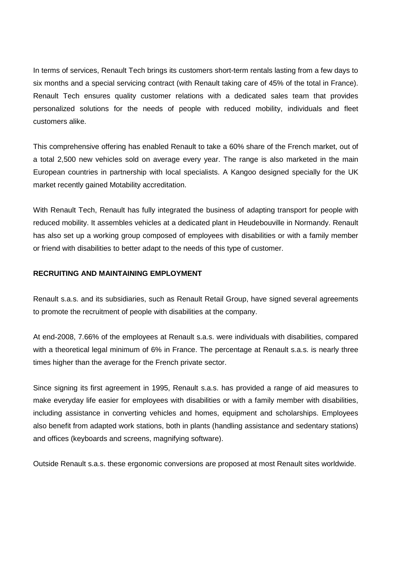In terms of services, Renault Tech brings its customers short-term rentals lasting from a few days to six months and a special servicing contract (with Renault taking care of 45% of the total in France). Renault Tech ensures quality customer relations with a dedicated sales team that provides personalized solutions for the needs of people with reduced mobility, individuals and fleet customers alike.

This comprehensive offering has enabled Renault to take a 60% share of the French market, out of a total 2,500 new vehicles sold on average every year. The range is also marketed in the main European countries in partnership with local specialists. A Kangoo designed specially for the UK market recently gained Motability accreditation.

With Renault Tech, Renault has fully integrated the business of adapting transport for people with reduced mobility. It assembles vehicles at a dedicated plant in Heudebouville in Normandy. Renault has also set up a working group composed of employees with disabilities or with a family member or friend with disabilities to better adapt to the needs of this type of customer.

#### **RECRUITING AND MAINTAINING EMPLOYMENT**

Renault s.a.s. and its subsidiaries, such as Renault Retail Group, have signed several agreements to promote the recruitment of people with disabilities at the company.

At end-2008, 7.66% of the employees at Renault s.a.s. were individuals with disabilities, compared with a theoretical legal minimum of 6% in France. The percentage at Renault s.a.s. is nearly three times higher than the average for the French private sector.

Since signing its first agreement in 1995, Renault s.a.s. has provided a range of aid measures to make everyday life easier for employees with disabilities or with a family member with disabilities, including assistance in converting vehicles and homes, equipment and scholarships. Employees also benefit from adapted work stations, both in plants (handling assistance and sedentary stations) and offices (keyboards and screens, magnifying software).

Outside Renault s.a.s. these ergonomic conversions are proposed at most Renault sites worldwide.